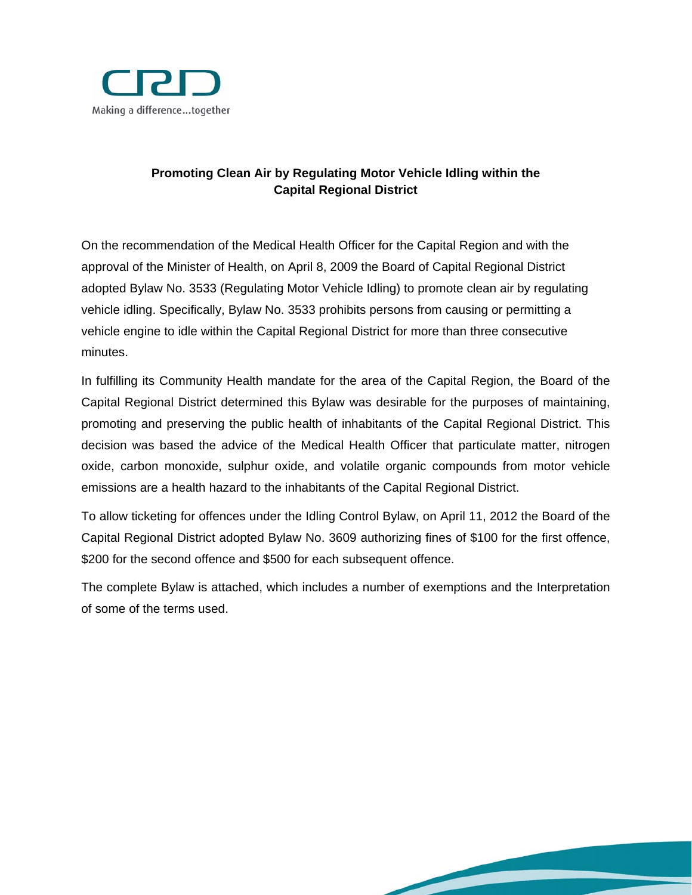

# **Promoting Clean Air by Regulating Motor Vehicle Idling within the Capital Regional District**

On the recommendation of the Medical Health Officer for the Capital Region and with the approval of the Minister of Health, on April 8, 2009 the Board of Capital Regional District adopted Bylaw No. 3533 (Regulating Motor Vehicle Idling) to promote clean air by regulating vehicle idling. Specifically, Bylaw No. 3533 prohibits persons from causing or permitting a vehicle engine to idle within the Capital Regional District for more than three consecutive minutes.

In fulfilling its Community Health mandate for the area of the Capital Region, the Board of the Capital Regional District determined this Bylaw was desirable for the purposes of maintaining, promoting and preserving the public health of inhabitants of the Capital Regional District. This decision was based the advice of the Medical Health Officer that particulate matter, nitrogen oxide, carbon monoxide, sulphur oxide, and volatile organic compounds from motor vehicle emissions are a health hazard to the inhabitants of the Capital Regional District.

To allow ticketing for offences under the Idling Control Bylaw, on April 11, 2012 the Board of the Capital Regional District adopted Bylaw No. 3609 authorizing fines of \$100 for the first offence, \$200 for the second offence and \$500 for each subsequent offence.

The complete Bylaw is attached, which includes a number of exemptions and the Interpretation of some of the terms used.

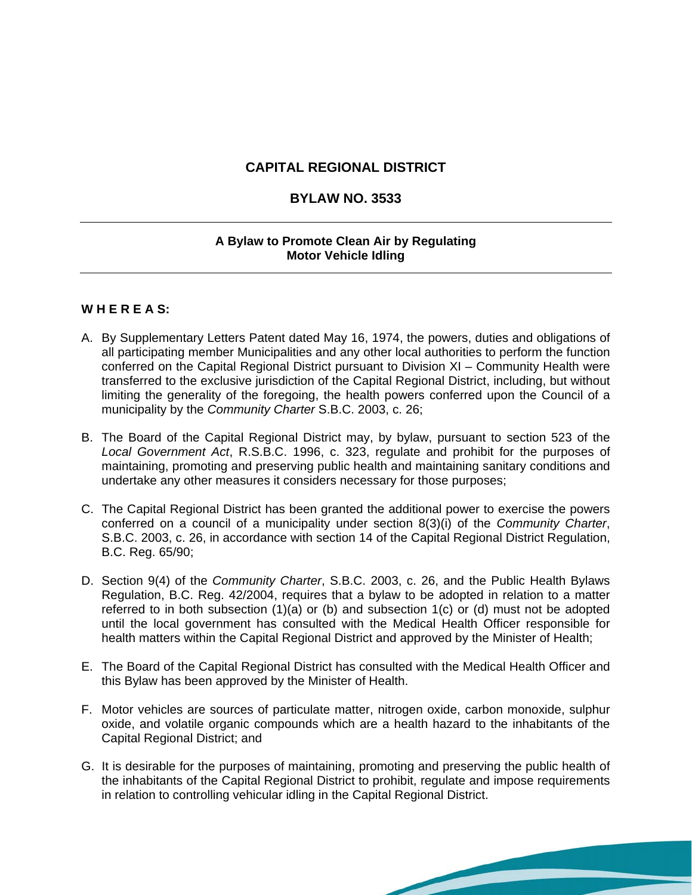## **CAPITAL REGIONAL DISTRICT**

### **BYLAW NO. 3533**

### **A Bylaw to Promote Clean Air by Regulating Motor Vehicle Idling**

#### **W H E R E A S:**

- A. By Supplementary Letters Patent dated May 16, 1974, the powers, duties and obligations of all participating member Municipalities and any other local authorities to perform the function conferred on the Capital Regional District pursuant to Division XI – Community Health were transferred to the exclusive jurisdiction of the Capital Regional District, including, but without limiting the generality of the foregoing, the health powers conferred upon the Council of a municipality by the *Community Charter* S.B.C. 2003, c. 26;
- B. The Board of the Capital Regional District may, by bylaw, pursuant to section 523 of the *Local Government Act*, R.S.B.C. 1996, c. 323, regulate and prohibit for the purposes of maintaining, promoting and preserving public health and maintaining sanitary conditions and undertake any other measures it considers necessary for those purposes;
- C. The Capital Regional District has been granted the additional power to exercise the powers conferred on a council of a municipality under section 8(3)(i) of the *Community Charter*, S.B.C. 2003, c. 26, in accordance with section 14 of the Capital Regional District Regulation, B.C. Reg. 65/90;
- D. Section 9(4) of the *Community Charter*, S.B.C. 2003, c. 26, and the Public Health Bylaws Regulation, B.C. Reg. 42/2004, requires that a bylaw to be adopted in relation to a matter referred to in both subsection (1)(a) or (b) and subsection 1(c) or (d) must not be adopted until the local government has consulted with the Medical Health Officer responsible for health matters within the Capital Regional District and approved by the Minister of Health;
- E. The Board of the Capital Regional District has consulted with the Medical Health Officer and this Bylaw has been approved by the Minister of Health.
- F. Motor vehicles are sources of particulate matter, nitrogen oxide, carbon monoxide, sulphur oxide, and volatile organic compounds which are a health hazard to the inhabitants of the Capital Regional District; and
- G. It is desirable for the purposes of maintaining, promoting and preserving the public health of the inhabitants of the Capital Regional District to prohibit, regulate and impose requirements in relation to controlling vehicular idling in the Capital Regional District.

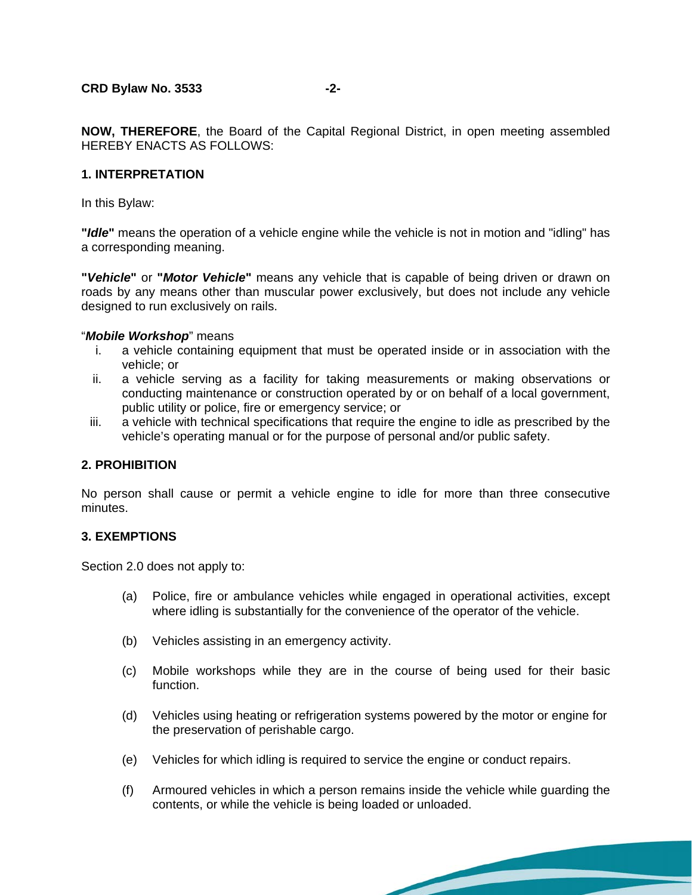**NOW, THEREFORE**, the Board of the Capital Regional District, in open meeting assembled HEREBY ENACTS AS FOLLOWS:

#### **1. INTERPRETATION**

In this Bylaw:

**"***Idle***"** means the operation of a vehicle engine while the vehicle is not in motion and "idling" has a corresponding meaning.

**"***Vehicle***"** or **"***Motor Vehicle***"** means any vehicle that is capable of being driven or drawn on roads by any means other than muscular power exclusively, but does not include any vehicle designed to run exclusively on rails.

#### "*Mobile Workshop*" means

- i. a vehicle containing equipment that must be operated inside or in association with the vehicle; or
- ii. a vehicle serving as a facility for taking measurements or making observations or conducting maintenance or construction operated by or on behalf of a local government, public utility or police, fire or emergency service; or
- iii. a vehicle with technical specifications that require the engine to idle as prescribed by the vehicle's operating manual or for the purpose of personal and/or public safety.

#### **2. PROHIBITION**

No person shall cause or permit a vehicle engine to idle for more than three consecutive minutes.

#### **3. EXEMPTIONS**

Section 2.0 does not apply to:

- (a) Police, fire or ambulance vehicles while engaged in operational activities, except where idling is substantially for the convenience of the operator of the vehicle.
- (b) Vehicles assisting in an emergency activity.
- (c) Mobile workshops while they are in the course of being used for their basic function.
- (d) Vehicles using heating or refrigeration systems powered by the motor or engine for the preservation of perishable cargo.
- (e) Vehicles for which idling is required to service the engine or conduct repairs.
- (f) Armoured vehicles in which a person remains inside the vehicle while guarding the contents, or while the vehicle is being loaded or unloaded.